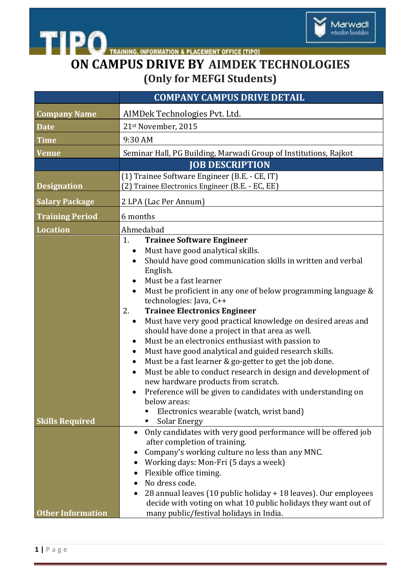

## **ON CAMPUS DRIVE BY AIMDEK TECHNOLOGIES (Only for MEFGI Students)**

| <b>COMPANY CAMPUS DRIVE DETAIL</b>                                                                                                                                                                                                                                                                                                                                                                                                                                                                                                                                                                                                                                                                                                                                                                                                                                                                                                    |
|---------------------------------------------------------------------------------------------------------------------------------------------------------------------------------------------------------------------------------------------------------------------------------------------------------------------------------------------------------------------------------------------------------------------------------------------------------------------------------------------------------------------------------------------------------------------------------------------------------------------------------------------------------------------------------------------------------------------------------------------------------------------------------------------------------------------------------------------------------------------------------------------------------------------------------------|
| AIMDek Technologies Pvt. Ltd.                                                                                                                                                                                                                                                                                                                                                                                                                                                                                                                                                                                                                                                                                                                                                                                                                                                                                                         |
| 21st November, 2015                                                                                                                                                                                                                                                                                                                                                                                                                                                                                                                                                                                                                                                                                                                                                                                                                                                                                                                   |
| 9:30 AM                                                                                                                                                                                                                                                                                                                                                                                                                                                                                                                                                                                                                                                                                                                                                                                                                                                                                                                               |
| Seminar Hall, PG Building, Marwadi Group of Institutions, Rajkot                                                                                                                                                                                                                                                                                                                                                                                                                                                                                                                                                                                                                                                                                                                                                                                                                                                                      |
| <b>JOB DESCRIPTION</b>                                                                                                                                                                                                                                                                                                                                                                                                                                                                                                                                                                                                                                                                                                                                                                                                                                                                                                                |
| (1) Trainee Software Engineer (B.E. - CE, IT)                                                                                                                                                                                                                                                                                                                                                                                                                                                                                                                                                                                                                                                                                                                                                                                                                                                                                         |
| (2) Trainee Electronics Engineer (B.E. - EC, EE)                                                                                                                                                                                                                                                                                                                                                                                                                                                                                                                                                                                                                                                                                                                                                                                                                                                                                      |
| 2 LPA (Lac Per Annum)                                                                                                                                                                                                                                                                                                                                                                                                                                                                                                                                                                                                                                                                                                                                                                                                                                                                                                                 |
| 6 months                                                                                                                                                                                                                                                                                                                                                                                                                                                                                                                                                                                                                                                                                                                                                                                                                                                                                                                              |
| Ahmedabad                                                                                                                                                                                                                                                                                                                                                                                                                                                                                                                                                                                                                                                                                                                                                                                                                                                                                                                             |
| 1.<br><b>Trainee Software Engineer</b><br>Must have good analytical skills.<br>$\bullet$<br>Should have good communication skills in written and verbal<br>English.<br>Must be a fast learner<br>$\bullet$<br>Must be proficient in any one of below programming language &<br>technologies: Java, C++<br>2.<br><b>Trainee Electronics Engineer</b><br>Must have very good practical knowledge on desired areas and<br>$\bullet$<br>should have done a project in that area as well.<br>Must be an electronics enthusiast with passion to<br>$\bullet$<br>Must have good analytical and guided research skills.<br>٠<br>Must be a fast learner & go-getter to get the job done.<br>$\bullet$<br>Must be able to conduct research in design and development of<br>new hardware products from scratch.<br>Preference will be given to candidates with understanding on<br>below areas:<br>Electronics wearable (watch, wrist band)<br>Π |
| Solar Energy                                                                                                                                                                                                                                                                                                                                                                                                                                                                                                                                                                                                                                                                                                                                                                                                                                                                                                                          |
| Only candidates with very good performance will be offered job<br>after completion of training.<br>Company's working culture no less than any MNC.<br>٠<br>Working days: Mon-Fri (5 days a week)<br>Flexible office timing.<br>No dress code.<br>28 annual leaves (10 public holiday + 18 leaves). Our employees<br>decide with voting on what 10 public holidays they want out of<br>many public/festival holidays in India.                                                                                                                                                                                                                                                                                                                                                                                                                                                                                                         |
|                                                                                                                                                                                                                                                                                                                                                                                                                                                                                                                                                                                                                                                                                                                                                                                                                                                                                                                                       |